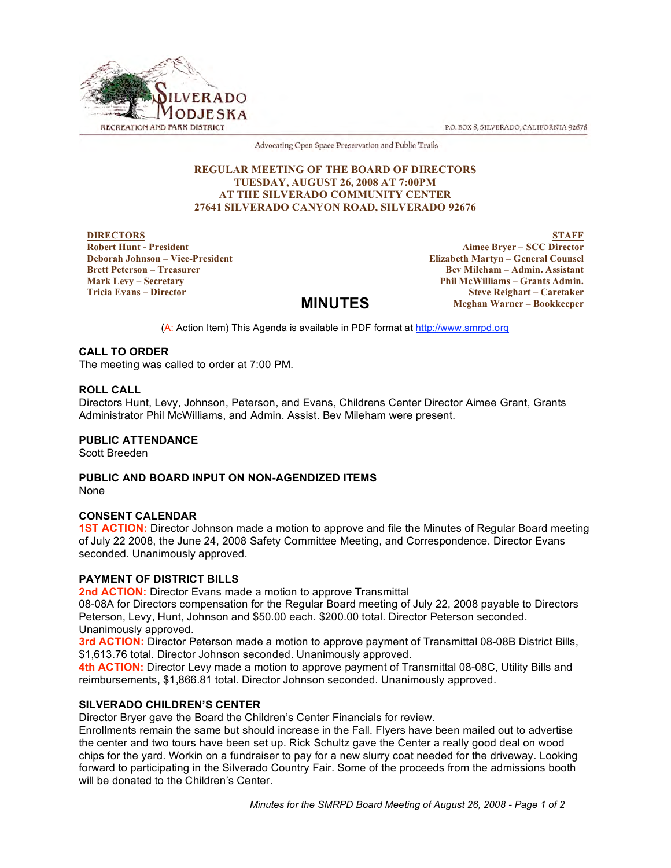P.O. BOX 8, SILVERADO, CALIFORNIA 92676



Advocating Open Space Preservation and Public Trails

## **REGULAR MEETING OF THE BOARD OF DIRECTORS TUESDAY, AUGUST 26, 2008 AT 7:00PM AT THE SILVERADO COMMUNITY CENTER 27641 SILVERADO CANYON ROAD, SILVERADO 92676**

**DIRECTORS Robert Hunt - President Deborah Johnson – Vice-President Brett Peterson – Treasurer Mark Levy – Secretary Tricia Evans – Director**

**STAFF Aimee Bryer – SCC Director Elizabeth Martyn – General Counsel Bev Mileham – Admin. Assistant Phil McWilliams – Grants Admin. Steve Reighart – Caretaker Meghan Warner – Bookkeeper**

# **MINUTES**

(A: Action Item) This Agenda is available in PDF format at http://www.smrpd.org

# **CALL TO ORDER**

The meeting was called to order at 7:00 PM.

## **ROLL CALL**

Directors Hunt, Levy, Johnson, Peterson, and Evans, Childrens Center Director Aimee Grant, Grants Administrator Phil McWilliams, and Admin. Assist. Bev Mileham were present.

# **PUBLIC ATTENDANCE**

Scott Breeden

**PUBLIC AND BOARD INPUT ON NON-AGENDIZED ITEMS** None

## **CONSENT CALENDAR**

**1ST ACTION:** Director Johnson made a motion to approve and file the Minutes of Regular Board meeting of July 22 2008, the June 24, 2008 Safety Committee Meeting, and Correspondence. Director Evans seconded. Unanimously approved.

## **PAYMENT OF DISTRICT BILLS**

2nd **ACTION:** Director Evans made a motion to approve Transmittal

08-08A for Directors compensation for the Regular Board meeting of July 22, 2008 payable to Directors Peterson, Levy, Hunt, Johnson and \$50.00 each. \$200.00 total. Director Peterson seconded. Unanimously approved.

**3rd ACTION:** Director Peterson made a motion to approve payment of Transmittal 08-08B District Bills, \$1,613.76 total. Director Johnson seconded. Unanimously approved.

**4th ACTION:** Director Levy made a motion to approve payment of Transmittal 08-08C, Utility Bills and reimbursements, \$1,866.81 total. Director Johnson seconded. Unanimously approved.

# **SILVERADO CHILDREN'S CENTER**

Director Bryer gave the Board the Children's Center Financials for review.

Enrollments remain the same but should increase in the Fall. Flyers have been mailed out to advertise the center and two tours have been set up. Rick Schultz gave the Center a really good deal on wood chips for the yard. Workin on a fundraiser to pay for a new slurry coat needed for the driveway. Looking forward to participating in the Silverado Country Fair. Some of the proceeds from the admissions booth will be donated to the Children's Center.